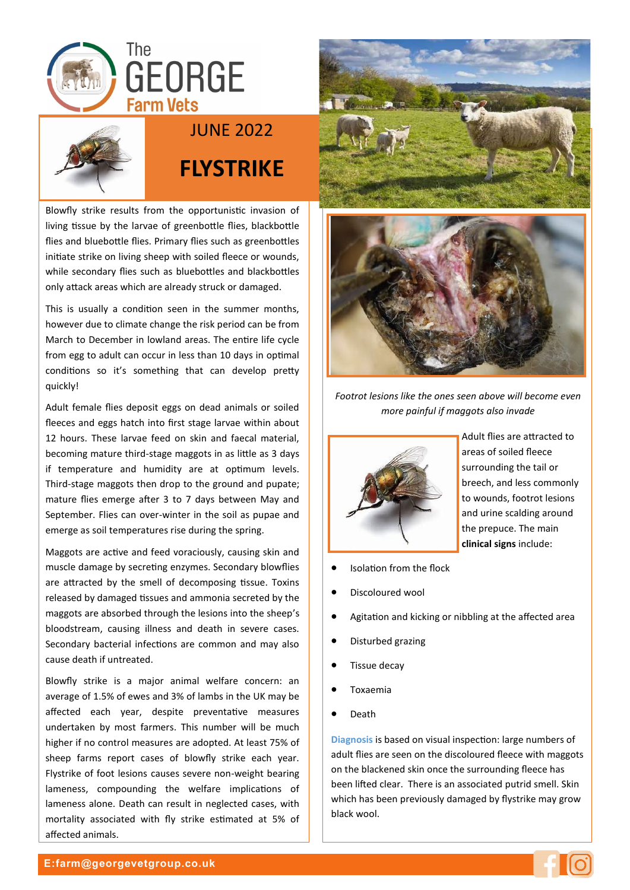



## JUNE 2022

## **FLYSTRIKE**

Blowfly strike results from the opportunistic invasion of living tissue by the larvae of greenbottle flies, blackbottle flies and bluebottle flies. Primary flies such as greenbottles initiate strike on living sheep with soiled fleece or wounds, while secondary flies such as bluebottles and blackbottles only attack areas which are already struck or damaged.

This is usually a condition seen in the summer months, however due to climate change the risk period can be from March to December in lowland areas. The entire life cycle from egg to adult can occur in less than 10 days in optimal conditions so it's something that can develop pretty quickly!

Adult female flies deposit eggs on dead animals or soiled fleeces and eggs hatch into first stage larvae within about 12 hours. These larvae feed on skin and faecal material, becoming mature third-stage maggots in as little as 3 days if temperature and humidity are at optimum levels. Third-stage maggots then drop to the ground and pupate; mature flies emerge after 3 to 7 days between May and September. Flies can over-winter in the soil as pupae and emerge as soil temperatures rise during the spring.

Maggots are active and feed voraciously, causing skin and muscle damage by secreting enzymes. Secondary blowflies are attracted by the smell of decomposing tissue. Toxins released by damaged tissues and ammonia secreted by the maggots are absorbed through the lesions into the sheep's bloodstream, causing illness and death in severe cases. Secondary bacterial infections are common and may also cause death if untreated.

Blowfly strike is a major animal welfare concern: an average of 1.5% of ewes and 3% of lambs in the UK may be affected each year, despite preventative measures undertaken by most farmers. This number will be much higher if no control measures are adopted. At least 75% of sheep farms report cases of blowfly strike each year. Flystrike of foot lesions causes severe non-weight bearing lameness, compounding the welfare implications of lameness alone. Death can result in neglected cases, with mortality associated with fly strike estimated at 5% of affected animals.





*Footrot lesions like the ones seen above will become even more painful if maggots also invade*



Adult flies are attracted to areas of soiled fleece surrounding the tail or breech, and less commonly to wounds, footrot lesions and urine scalding around the prepuce. The main **clinical signs** include:

- Isolation from the flock
- Discoloured wool
- Agitation and kicking or nibbling at the affected area
- Disturbed grazing
- Tissue decay
- Toxaemia
- Death

**Diagnosis** is based on visual inspection: large numbers of adult flies are seen on the discoloured fleece with maggots on the blackened skin once the surrounding fleece has been lifted clear. There is an associated putrid smell. Skin which has been previously damaged by flystrike may grow black wool.